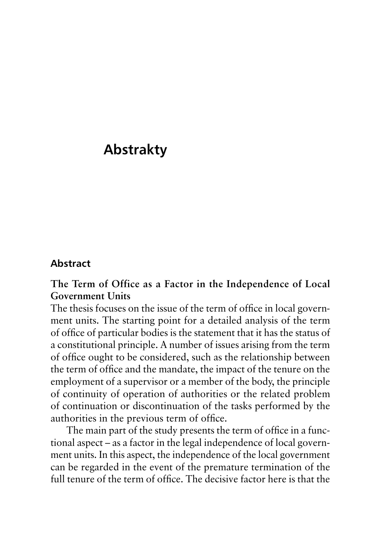# **Abstrakty**

#### **Abstract**

## **The Term of Office as a Factor in the Independence of Local Government Units**

The thesis focuses on the issue of the term of office in local government units. The starting point for a detailed analysis of the term of office of particular bodies is the statement that it has the status of a constitutional principle. A number of issues arising from the term of office ought to be considered, such as the relationship between the term of office and the mandate, the impact of the tenure on the employment of a supervisor or a member of the body, the principle of continuity of operation of authorities or the related problem of continuation or discontinuation of the tasks performed by the authorities in the previous term of office.

The main part of the study presents the term of office in a functional aspect – as a factor in the legal independence of local government units. In this aspect, the independence of the local government can be regarded in the event of the premature termination of the full tenure of the term of office. The decisive factor here is that the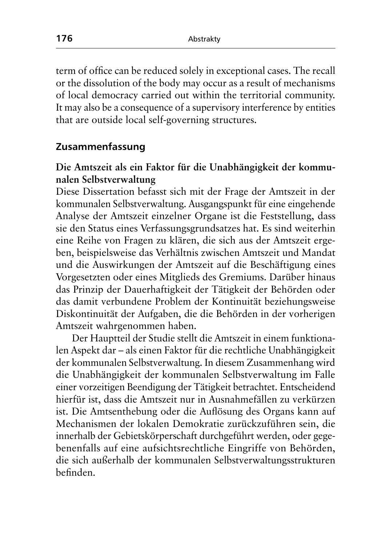term of office can be reduced solely in exceptional cases. The recall or the dissolution of the body may occur as a result of mechanisms of local democracy carried out within the territorial community. It may also be a consequence of a supervisory interference by entities that are outside local self-governing structures.

#### **Zusammenfassung**

## **Die Amtszeit als ein Faktor für die Unabhängigkeit der kommunalen Selbstverwaltung**

Diese Dissertation befasst sich mit der Frage der Amtszeit in der kommunalen Selbstverwaltung. Ausgangspunkt für eine eingehende Analyse der Amtszeit einzelner Organe ist die Feststellung, dass sie den Status eines Verfassungsgrundsatzes hat. Es sind weiterhin eine Reihe von Fragen zu klären, die sich aus der Amtszeit ergeben, beispielsweise das Verhältnis zwischen Amtszeit und Mandat und die Auswirkungen der Amtszeit auf die Beschäftigung eines Vorgesetzten oder eines Mitglieds des Gremiums. Darüber hinaus das Prinzip der Dauerhaftigkeit der Tätigkeit der Behörden oder das damit verbundene Problem der Kontinuität beziehungsweise Diskontinuität der Aufgaben, die die Behörden in der vorherigen Amtszeit wahrgenommen haben.

Der Hauptteil der Studie stellt die Amtszeit in einem funktionalen Aspekt dar – als einen Faktor für die rechtliche Unabhängigkeit der kommunalen Selbstverwaltung. In diesem Zusammenhang wird die Unabhängigkeit der kommunalen Selbstverwaltung im Falle einer vorzeitigen Beendigung der Tätigkeit betrachtet. Entscheidend hierfür ist, dass die Amtszeit nur in Ausnahmefällen zu verkürzen ist. Die Amtsenthebung oder die Auflösung des Organs kann auf Mechanismen der lokalen Demokratie zurückzuführen sein, die innerhalb der Gebietskörperschaft durchgeführt werden, oder gegebenenfalls auf eine aufsichtsrechtliche Eingriffe von Behörden, die sich außerhalb der kommunalen Selbstverwaltungsstrukturen befinden.